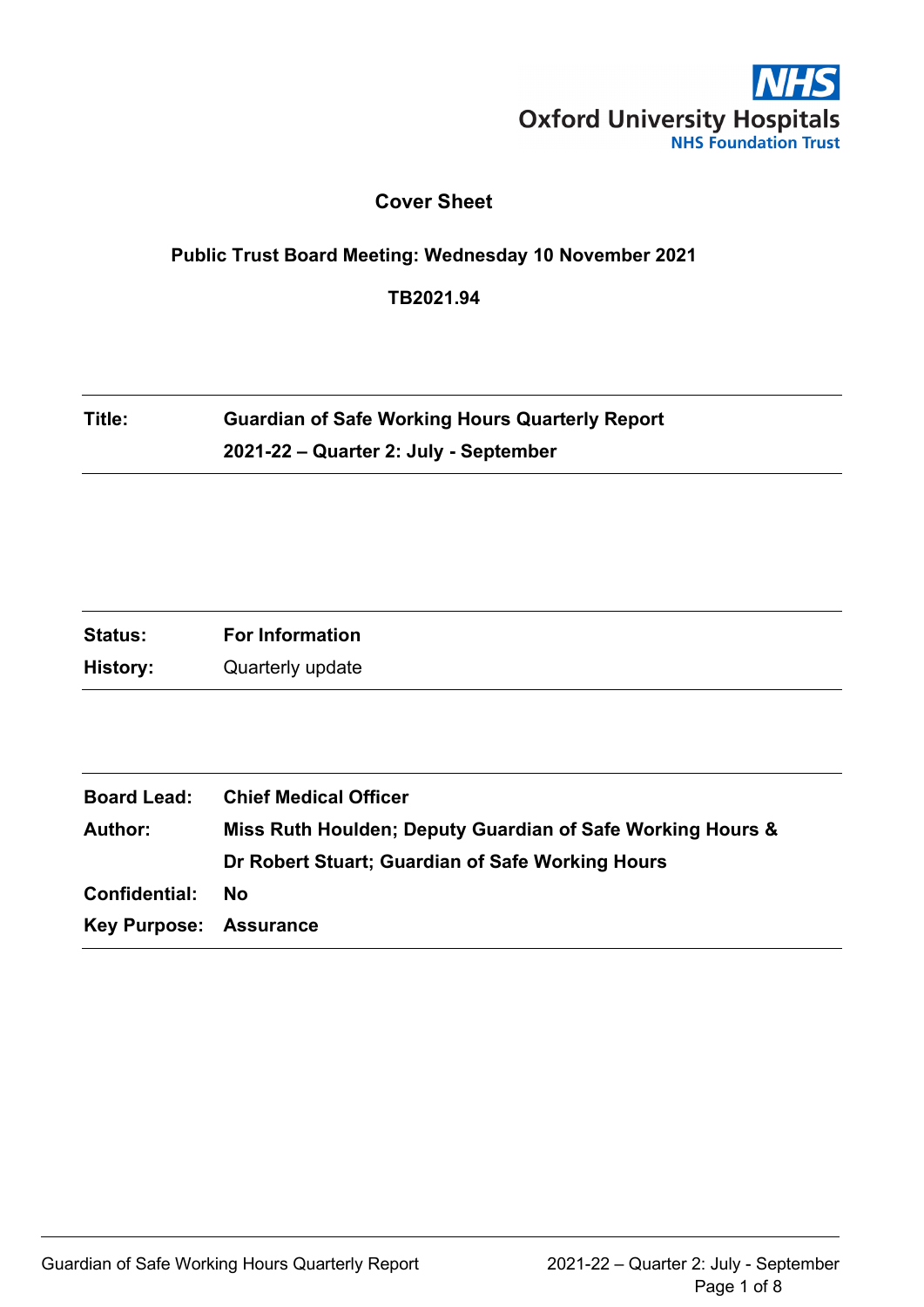

## **Cover Sheet**

#### **Public Trust Board Meeting: Wednesday 10 November 2021**

**TB2021.94**

# **Title: Guardian of Safe Working Hours Quarterly Report 2021-22 – Quarter 2: July - September**

| <b>Status:</b><br><b>For Information</b> |
|------------------------------------------|
| History:<br>Quarterly update             |

| <b>Board Lead:</b>            | <b>Chief Medical Officer</b>                               |
|-------------------------------|------------------------------------------------------------|
| <b>Author:</b>                | Miss Ruth Houlden; Deputy Guardian of Safe Working Hours & |
|                               | Dr Robert Stuart; Guardian of Safe Working Hours           |
| Confidential:                 | - No                                                       |
| <b>Key Purpose: Assurance</b> |                                                            |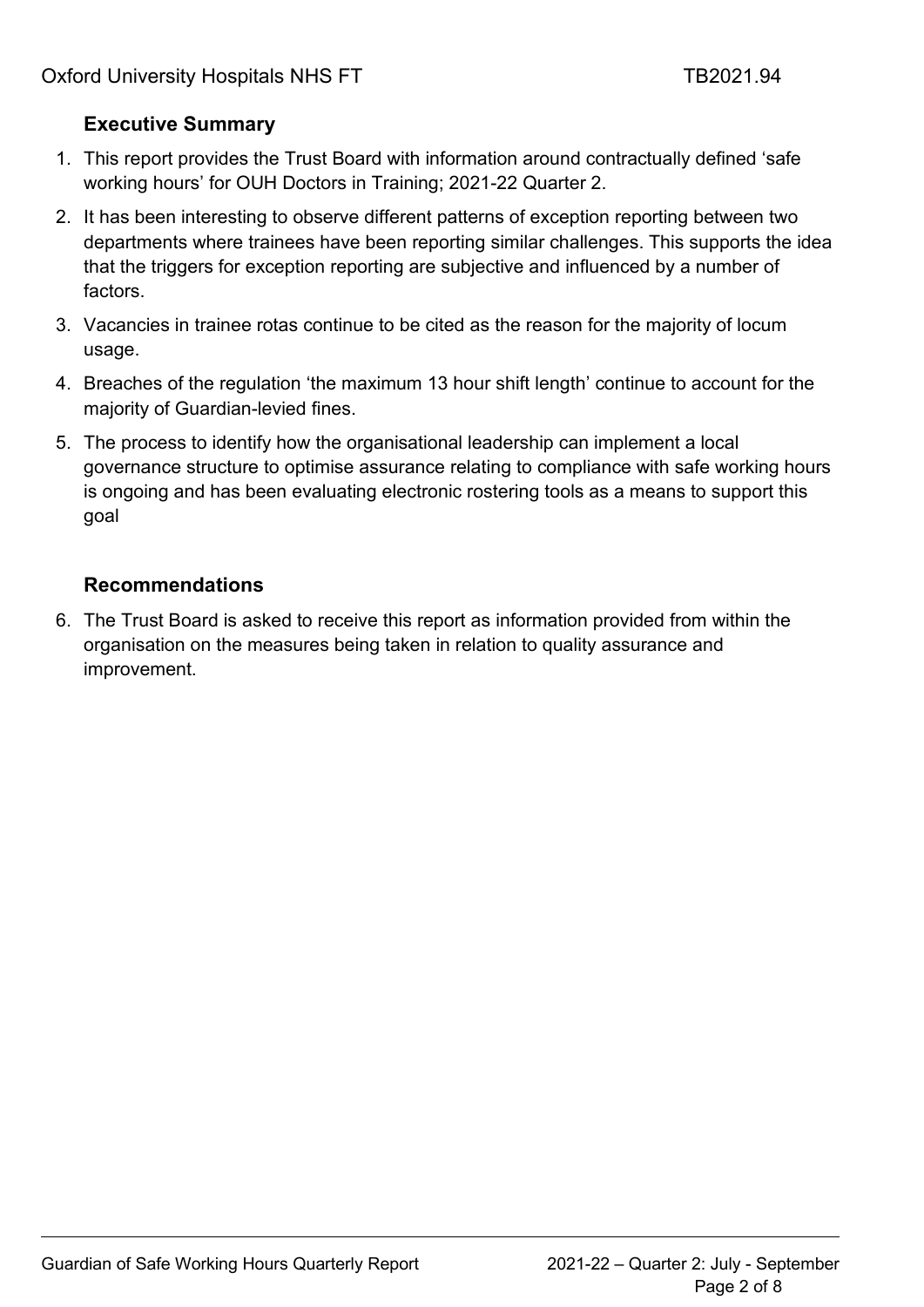# **Executive Summary**

- 1. This report provides the Trust Board with information around contractually defined 'safe working hours' for OUH Doctors in Training; 2021-22 Quarter 2.
- 2. It has been interesting to observe different patterns of exception reporting between two departments where trainees have been reporting similar challenges. This supports the idea that the triggers for exception reporting are subjective and influenced by a number of factors.
- 3. Vacancies in trainee rotas continue to be cited as the reason for the majority of locum usage.
- 4. Breaches of the regulation 'the maximum 13 hour shift length' continue to account for the majority of Guardian-levied fines.
- 5. The process to identify how the organisational leadership can implement a local governance structure to optimise assurance relating to compliance with safe working hours is ongoing and has been evaluating electronic rostering tools as a means to support this goal

# **Recommendations**

6. The Trust Board is asked to receive this report as information provided from within the organisation on the measures being taken in relation to quality assurance and improvement.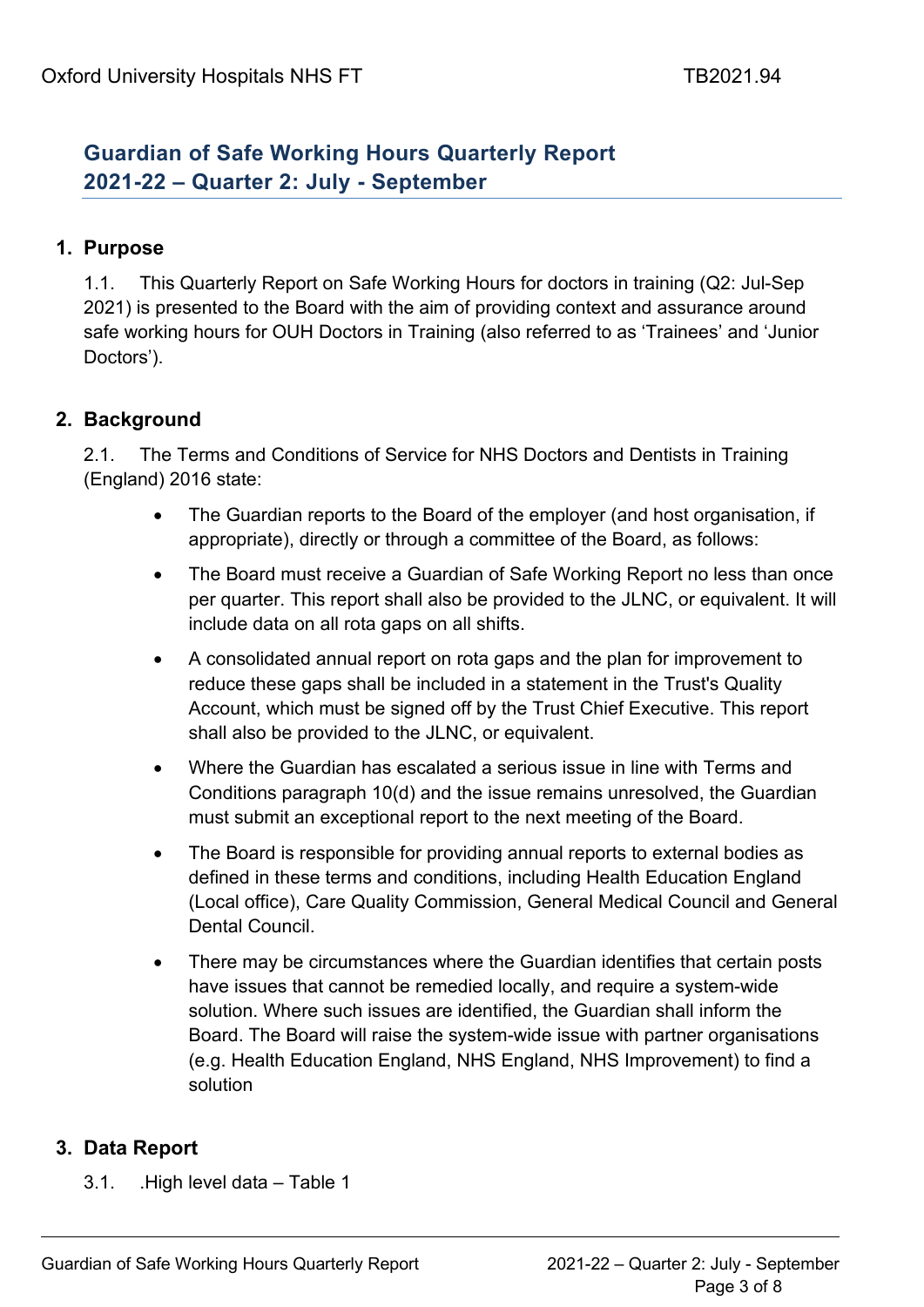# **Guardian of Safe Working Hours Quarterly Report 2021-22 – Quarter 2: July - September**

## **1. Purpose**

1.1. This Quarterly Report on Safe Working Hours for doctors in training (Q2: Jul-Sep 2021) is presented to the Board with the aim of providing context and assurance around safe working hours for OUH Doctors in Training (also referred to as 'Trainees' and 'Junior Doctors').

# **2. Background**

2.1. The Terms and Conditions of Service for NHS Doctors and Dentists in Training (England) 2016 state:

- The Guardian reports to the Board of the employer (and host organisation, if appropriate), directly or through a committee of the Board, as follows:
- The Board must receive a Guardian of Safe Working Report no less than once per quarter. This report shall also be provided to the JLNC, or equivalent. It will include data on all rota gaps on all shifts.
- A consolidated annual report on rota gaps and the plan for improvement to reduce these gaps shall be included in a statement in the Trust's Quality Account, which must be signed off by the Trust Chief Executive. This report shall also be provided to the JLNC, or equivalent.
- Where the Guardian has escalated a serious issue in line with Terms and Conditions paragraph 10(d) and the issue remains unresolved, the Guardian must submit an exceptional report to the next meeting of the Board.
- The Board is responsible for providing annual reports to external bodies as defined in these terms and conditions, including Health Education England (Local office), Care Quality Commission, General Medical Council and General Dental Council.
- There may be circumstances where the Guardian identifies that certain posts have issues that cannot be remedied locally, and require a system-wide solution. Where such issues are identified, the Guardian shall inform the Board. The Board will raise the system-wide issue with partner organisations (e.g. Health Education England, NHS England, NHS Improvement) to find a solution

## **3. Data Report**

3.1. .High level data – Table 1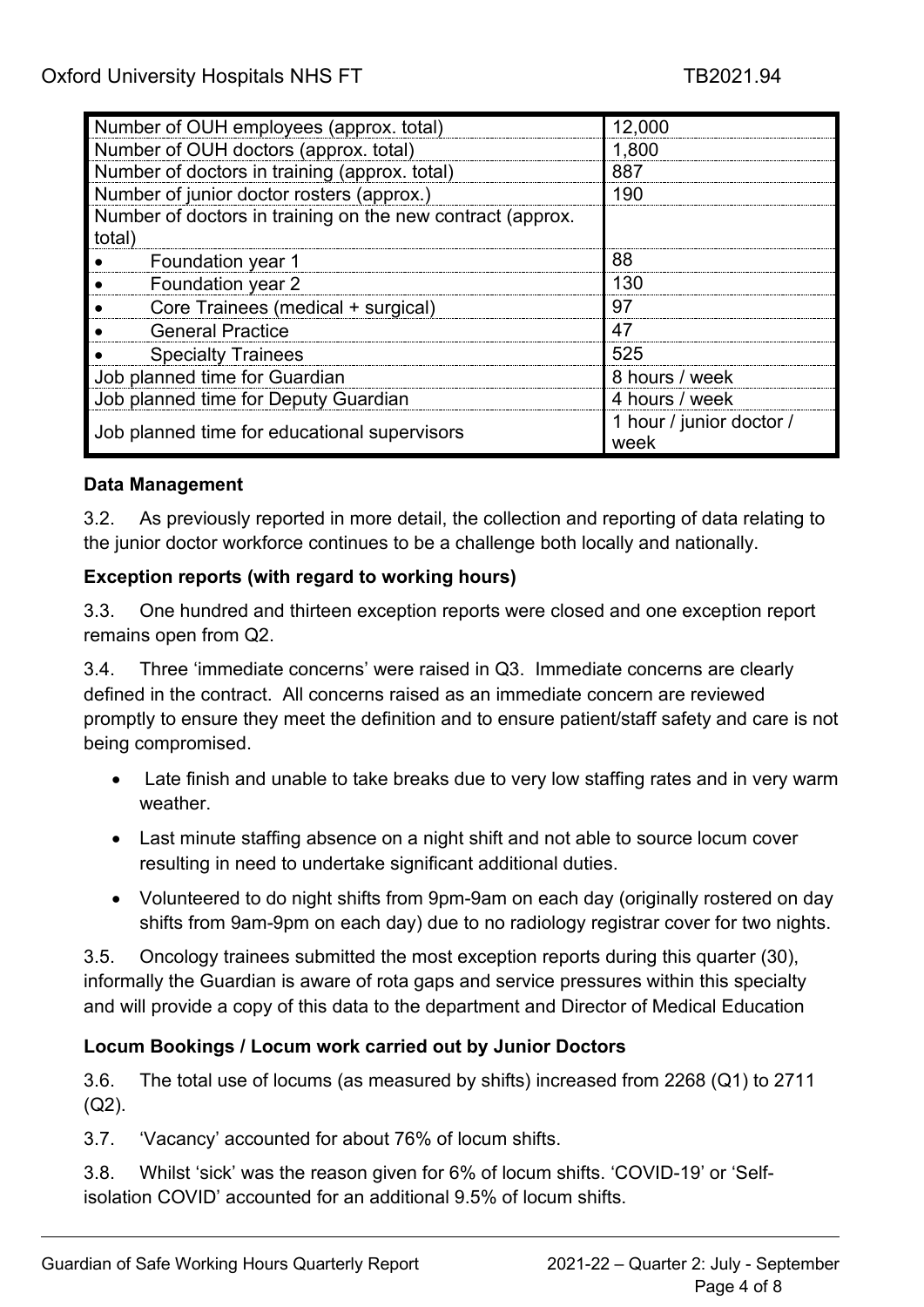| Number of OUH employees (approx. total)                    | 12,000                           |  |  |  |
|------------------------------------------------------------|----------------------------------|--|--|--|
| Number of OUH doctors (approx. total)                      | 1,800                            |  |  |  |
| Number of doctors in training (approx. total)              | 887                              |  |  |  |
| Number of junior doctor rosters (approx.)                  | 190                              |  |  |  |
| Number of doctors in training on the new contract (approx. |                                  |  |  |  |
| total)                                                     |                                  |  |  |  |
| Foundation year 1                                          | 88                               |  |  |  |
| Foundation year 2                                          | 130                              |  |  |  |
| Core Trainees (medical + surgical)                         | 97                               |  |  |  |
| <b>General Practice</b>                                    | 47                               |  |  |  |
| <b>Specialty Trainees</b>                                  | 525                              |  |  |  |
| Job planned time for Guardian                              | 8 hours / week                   |  |  |  |
| Job planned time for Deputy Guardian                       | 4 hours / week                   |  |  |  |
| Job planned time for educational supervisors               | 1 hour / junior doctor /<br>week |  |  |  |

#### **Data Management**

3.2. As previously reported in more detail, the collection and reporting of data relating to the junior doctor workforce continues to be a challenge both locally and nationally.

#### **Exception reports (with regard to working hours)**

3.3. One hundred and thirteen exception reports were closed and one exception report remains open from Q2.

3.4. Three 'immediate concerns' were raised in Q3. Immediate concerns are clearly defined in the contract. All concerns raised as an immediate concern are reviewed promptly to ensure they meet the definition and to ensure patient/staff safety and care is not being compromised.

- Late finish and unable to take breaks due to very low staffing rates and in very warm weather.
- Last minute staffing absence on a night shift and not able to source locum cover resulting in need to undertake significant additional duties.
- Volunteered to do night shifts from 9pm-9am on each day (originally rostered on day shifts from 9am-9pm on each day) due to no radiology registrar cover for two nights.

3.5. Oncology trainees submitted the most exception reports during this quarter (30), informally the Guardian is aware of rota gaps and service pressures within this specialty and will provide a copy of this data to the department and Director of Medical Education

## **Locum Bookings / Locum work carried out by Junior Doctors**

3.6. The total use of locums (as measured by shifts) increased from 2268 (Q1) to 2711 (Q2).

3.7. 'Vacancy' accounted for about 76% of locum shifts.

3.8. Whilst 'sick' was the reason given for 6% of locum shifts. 'COVID-19' or 'Selfisolation COVID' accounted for an additional 9.5% of locum shifts.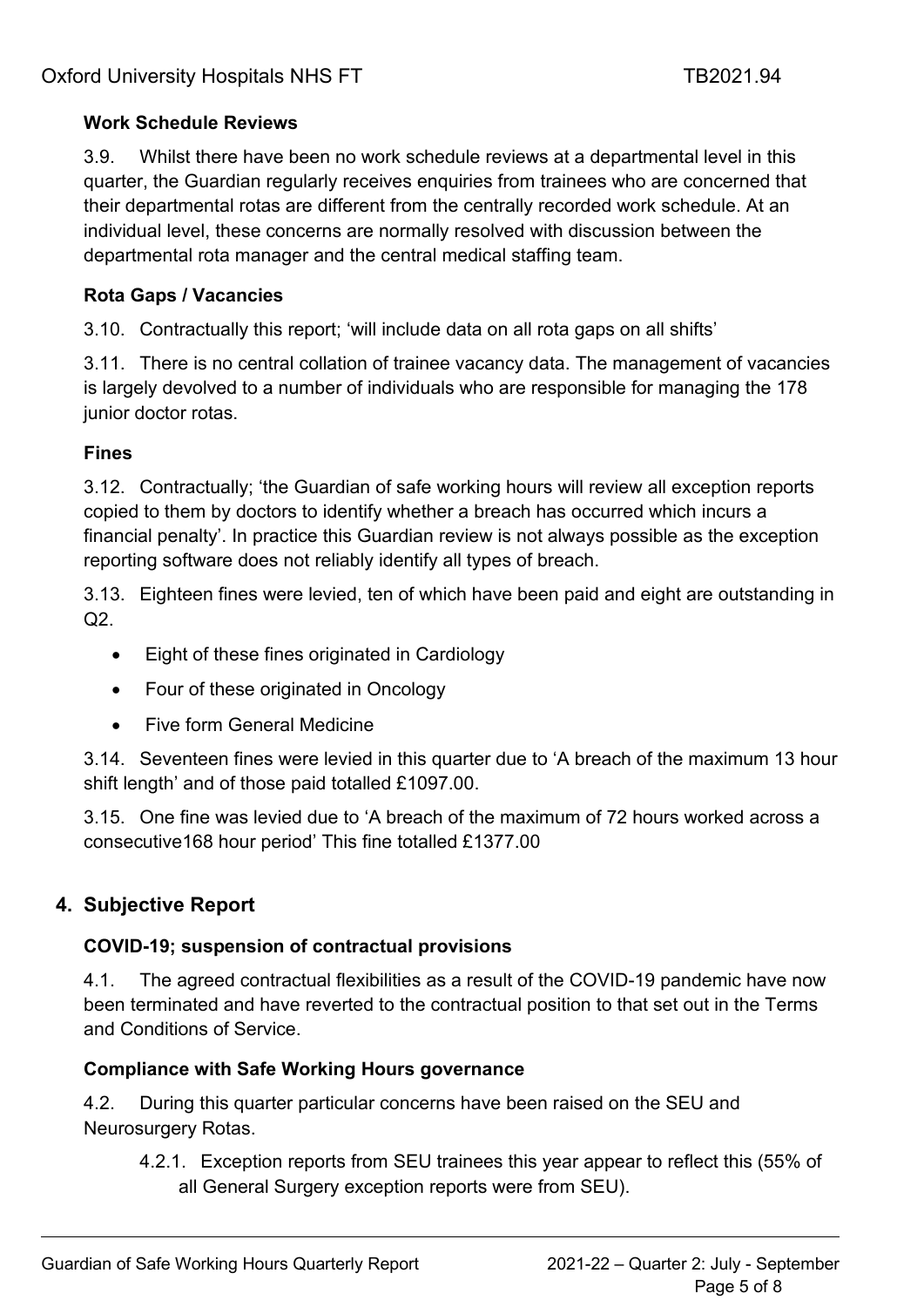## **Work Schedule Reviews**

3.9. Whilst there have been no work schedule reviews at a departmental level in this quarter, the Guardian regularly receives enquiries from trainees who are concerned that their departmental rotas are different from the centrally recorded work schedule. At an individual level, these concerns are normally resolved with discussion between the departmental rota manager and the central medical staffing team.

## **Rota Gaps / Vacancies**

3.10. Contractually this report; 'will include data on all rota gaps on all shifts'

3.11. There is no central collation of trainee vacancy data. The management of vacancies is largely devolved to a number of individuals who are responsible for managing the 178 junior doctor rotas.

## **Fines**

3.12. Contractually; 'the Guardian of safe working hours will review all exception reports copied to them by doctors to identify whether a breach has occurred which incurs a financial penalty'. In practice this Guardian review is not always possible as the exception reporting software does not reliably identify all types of breach.

3.13. Eighteen fines were levied, ten of which have been paid and eight are outstanding in Q2.

- Eight of these fines originated in Cardiology
- Four of these originated in Oncology
- Five form General Medicine

3.14. Seventeen fines were levied in this quarter due to 'A breach of the maximum 13 hour shift length' and of those paid totalled £1097.00.

3.15. One fine was levied due to 'A breach of the maximum of 72 hours worked across a consecutive168 hour period' This fine totalled £1377.00

# **4. Subjective Report**

## **COVID-19; suspension of contractual provisions**

4.1. The agreed contractual flexibilities as a result of the COVID-19 pandemic have now been terminated and have reverted to the contractual position to that set out in the Terms and Conditions of Service.

# **Compliance with Safe Working Hours governance**

4.2. During this quarter particular concerns have been raised on the SEU and Neurosurgery Rotas.

4.2.1. Exception reports from SEU trainees this year appear to reflect this (55% of all General Surgery exception reports were from SEU).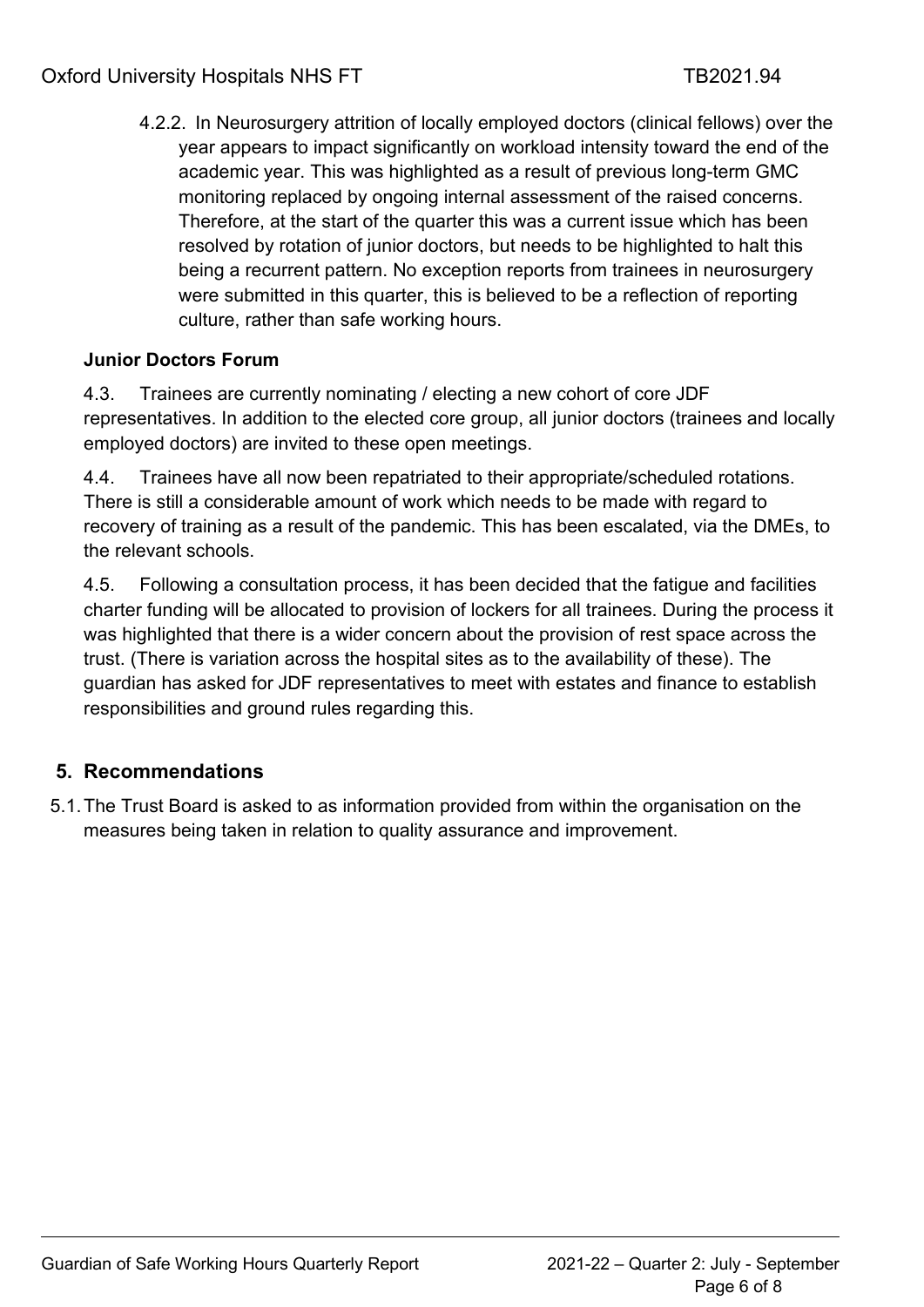4.2.2. In Neurosurgery attrition of locally employed doctors (clinical fellows) over the year appears to impact significantly on workload intensity toward the end of the academic year. This was highlighted as a result of previous long-term GMC monitoring replaced by ongoing internal assessment of the raised concerns. Therefore, at the start of the quarter this was a current issue which has been resolved by rotation of junior doctors, but needs to be highlighted to halt this being a recurrent pattern. No exception reports from trainees in neurosurgery were submitted in this quarter, this is believed to be a reflection of reporting culture, rather than safe working hours.

## **Junior Doctors Forum**

4.3. Trainees are currently nominating / electing a new cohort of core JDF representatives. In addition to the elected core group, all junior doctors (trainees and locally employed doctors) are invited to these open meetings.

4.4. Trainees have all now been repatriated to their appropriate/scheduled rotations. There is still a considerable amount of work which needs to be made with regard to recovery of training as a result of the pandemic. This has been escalated, via the DMEs, to the relevant schools.

4.5. Following a consultation process, it has been decided that the fatigue and facilities charter funding will be allocated to provision of lockers for all trainees. During the process it was highlighted that there is a wider concern about the provision of rest space across the trust. (There is variation across the hospital sites as to the availability of these). The guardian has asked for JDF representatives to meet with estates and finance to establish responsibilities and ground rules regarding this.

# **5. Recommendations**

5.1.The Trust Board is asked to as information provided from within the organisation on the measures being taken in relation to quality assurance and improvement.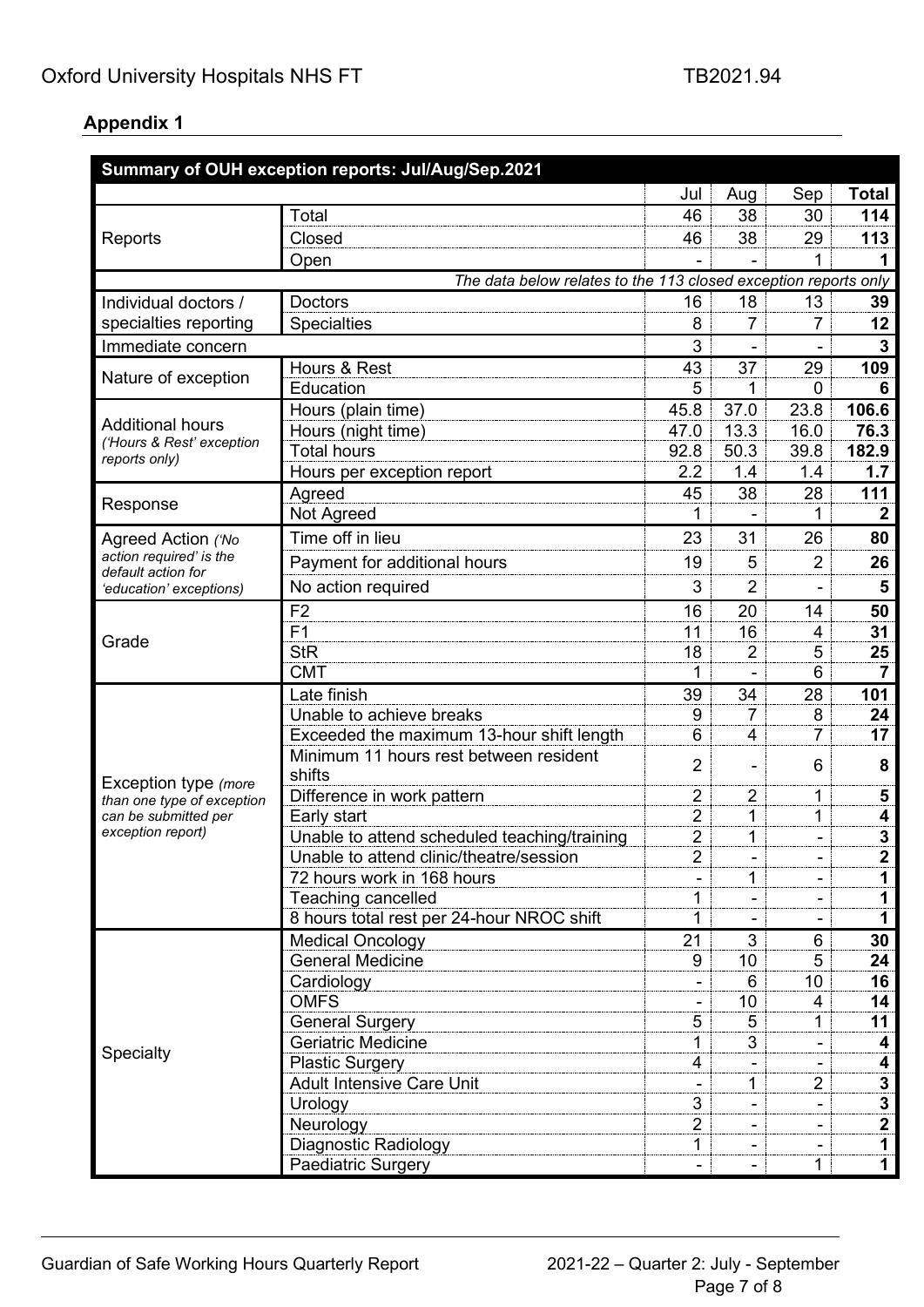#### **Appendix 1**

| Summary of OUH exception reports: Jul/Aug/Sep.2021              |                                              |                |                |                |                  |  |  |
|-----------------------------------------------------------------|----------------------------------------------|----------------|----------------|----------------|------------------|--|--|
|                                                                 |                                              | Jul            | Aug            | Sep            | <b>Total</b>     |  |  |
| Reports                                                         | Total                                        | 46             | 38             | 30             | 114              |  |  |
|                                                                 | Closed                                       | 46             | 38             | 29             | 113              |  |  |
|                                                                 | Open                                         |                |                | 1              | 1                |  |  |
| The data below relates to the 113 closed exception reports only |                                              |                |                |                |                  |  |  |
| Individual doctors /                                            | <b>Doctors</b>                               | 16             | 18             | 13             | 39               |  |  |
| specialties reporting                                           | <b>Specialties</b>                           | 8              | 7              | 7              | 12               |  |  |
| Immediate concern                                               |                                              | 3              | L,             |                | 3                |  |  |
|                                                                 | Hours & Rest                                 | 43             | 37             | 29             | 109              |  |  |
| Nature of exception                                             | Education                                    | 5              | 1              | 0              | 6                |  |  |
|                                                                 | Hours (plain time)                           | 45.8           | 37.0           | 23.8           | 106.6            |  |  |
| <b>Additional hours</b>                                         | Hours (night time)                           | 47.0           | 13.3           | 16.0           | 76.3             |  |  |
| ('Hours & Rest' exception                                       | <b>Total hours</b>                           | 92.8           | 50.3           | 39.8           | 182.9            |  |  |
| reports only)                                                   | Hours per exception report                   | 2.2            | 1.4            | 1.4            | 1.7              |  |  |
|                                                                 | Agreed                                       | 45             | 38             | 28             | 111              |  |  |
| Response                                                        | Not Agreed                                   | 1              | L.             | 1              | $\mathbf{2}$     |  |  |
| Agreed Action ('No                                              | Time off in lieu                             | 23             | 31             | 26             | 80               |  |  |
| action required' is the                                         | Payment for additional hours                 | 19             | 5              | 2              | 26               |  |  |
| default action for<br>'education' exceptions)                   | No action required                           | 3              | 2              |                | 5                |  |  |
|                                                                 | F <sub>2</sub>                               | 16             | 20             | 14             | 50               |  |  |
|                                                                 | F <sub>1</sub>                               | 11             | 16             | 4              | 31               |  |  |
| Grade                                                           | <b>StR</b>                                   | 18             | $\overline{2}$ | 5              | 25               |  |  |
|                                                                 | <b>CMT</b>                                   | 1              |                | 6              |                  |  |  |
|                                                                 | Late finish                                  | 39             | 34             | 28             | 101              |  |  |
|                                                                 | Unable to achieve breaks                     | 9              | $\overline{7}$ | 8              | 24               |  |  |
|                                                                 | Exceeded the maximum 13-hour shift length    | 6              | 4              | 7              | 17               |  |  |
|                                                                 | Minimum 11 hours rest between resident       |                |                |                |                  |  |  |
| Exception type (more                                            | shifts                                       | $\overline{2}$ | ۳              | 6              | 8                |  |  |
| than one type of exception                                      | Difference in work pattern                   | $\overline{2}$ | $\overline{2}$ | 1              | 5                |  |  |
| can be submitted per                                            | Early start                                  | $\overline{2}$ | 1              | 1              | 4                |  |  |
| exception report)                                               | Unable to attend scheduled teaching/training | $\overline{2}$ | 1              |                | 3                |  |  |
|                                                                 | Unable to attend clinic/theatre/session      | 2              |                |                | $\boldsymbol{2}$ |  |  |
|                                                                 | 72 hours work in 168 hours                   |                | 1              |                | 1                |  |  |
|                                                                 | <b>Teaching cancelled</b>                    | 1              |                |                | 1                |  |  |
|                                                                 | 8 hours total rest per 24-hour NROC shift    | 1              |                |                | 1                |  |  |
|                                                                 | <b>Medical Oncology</b>                      | 21             | 3              | 6              | 30               |  |  |
|                                                                 | <b>General Medicine</b>                      | 9              | 10             | 5              | 24               |  |  |
|                                                                 | Cardiology                                   |                | 6              | 10             | 16               |  |  |
|                                                                 | <b>OMFS</b>                                  |                | 10             | 4              | 14               |  |  |
|                                                                 | <b>General Surgery</b>                       | 5              | 5              | 1              | 11               |  |  |
| Specialty                                                       | <b>Geriatric Medicine</b>                    | 1              | 3              |                | 4                |  |  |
|                                                                 | <b>Plastic Surgery</b>                       | 4              |                |                | 4                |  |  |
|                                                                 | <b>Adult Intensive Care Unit</b>             |                | 1              | 2              | $\mathbf{3}$     |  |  |
|                                                                 | Urology                                      | 3              |                |                | $\mathbf{3}$     |  |  |
|                                                                 | Neurology                                    | $\overline{2}$ |                |                | 2                |  |  |
|                                                                 | Diagnostic Radiology                         | 1              | -              | $\blacksquare$ | $\mathbf 1$      |  |  |
|                                                                 | Paediatric Surgery                           | $\blacksquare$ | ۰              | 1              | $\mathbf 1$      |  |  |